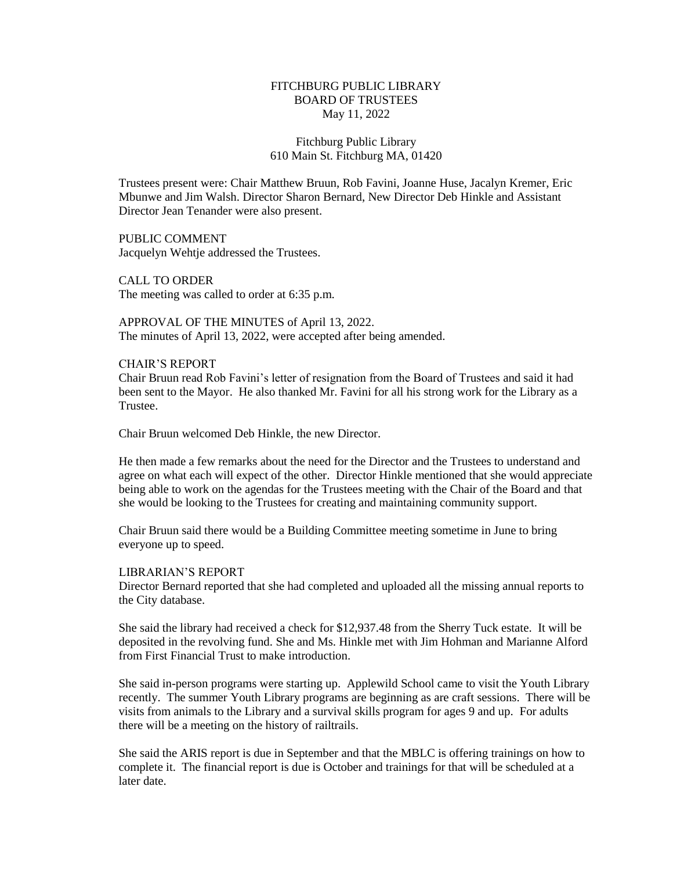# FITCHBURG PUBLIC LIBRARY BOARD OF TRUSTEES May 11, 2022

# Fitchburg Public Library 610 Main St. Fitchburg MA, 01420

Trustees present were: Chair Matthew Bruun, Rob Favini, Joanne Huse, Jacalyn Kremer, Eric Mbunwe and Jim Walsh. Director Sharon Bernard, New Director Deb Hinkle and Assistant Director Jean Tenander were also present.

PUBLIC COMMENT Jacquelyn Wehtje addressed the Trustees.

CALL TO ORDER The meeting was called to order at 6:35 p.m.

APPROVAL OF THE MINUTES of April 13, 2022. The minutes of April 13, 2022, were accepted after being amended.

#### CHAIR'S REPORT

Chair Bruun read Rob Favini's letter of resignation from the Board of Trustees and said it had been sent to the Mayor. He also thanked Mr. Favini for all his strong work for the Library as a Trustee.

Chair Bruun welcomed Deb Hinkle, the new Director.

He then made a few remarks about the need for the Director and the Trustees to understand and agree on what each will expect of the other. Director Hinkle mentioned that she would appreciate being able to work on the agendas for the Trustees meeting with the Chair of the Board and that she would be looking to the Trustees for creating and maintaining community support.

Chair Bruun said there would be a Building Committee meeting sometime in June to bring everyone up to speed.

#### LIBRARIAN'S REPORT

Director Bernard reported that she had completed and uploaded all the missing annual reports to the City database.

She said the library had received a check for \$12,937.48 from the Sherry Tuck estate. It will be deposited in the revolving fund. She and Ms. Hinkle met with Jim Hohman and Marianne Alford from First Financial Trust to make introduction.

She said in-person programs were starting up. Applewild School came to visit the Youth Library recently. The summer Youth Library programs are beginning as are craft sessions. There will be visits from animals to the Library and a survival skills program for ages 9 and up. For adults there will be a meeting on the history of railtrails.

She said the ARIS report is due in September and that the MBLC is offering trainings on how to complete it. The financial report is due is October and trainings for that will be scheduled at a later date.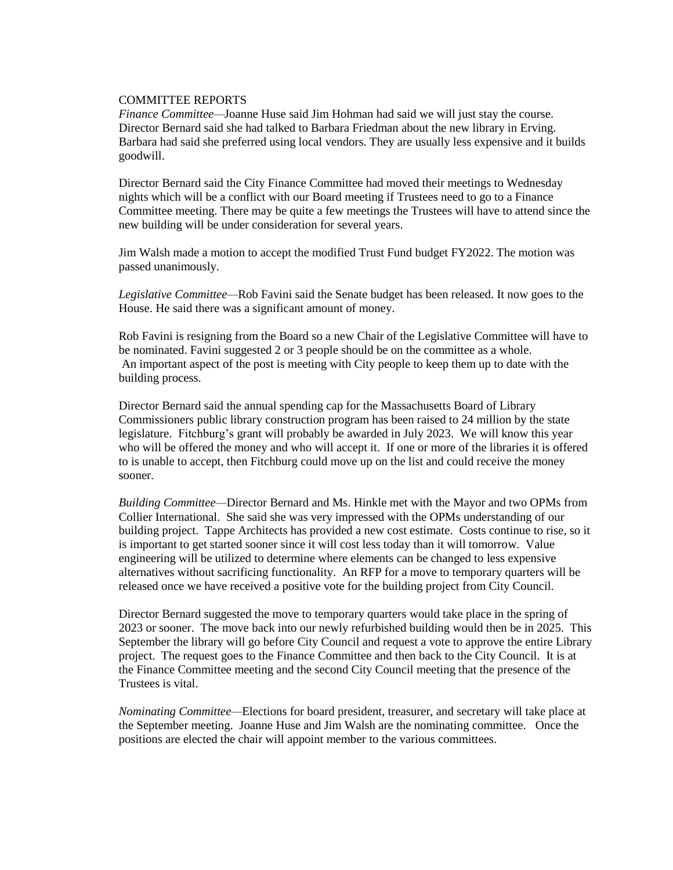### COMMITTEE REPORTS

*Finance Committee—*Joanne Huse said Jim Hohman had said we will just stay the course. Director Bernard said she had talked to Barbara Friedman about the new library in Erving. Barbara had said she preferred using local vendors. They are usually less expensive and it builds goodwill.

Director Bernard said the City Finance Committee had moved their meetings to Wednesday nights which will be a conflict with our Board meeting if Trustees need to go to a Finance Committee meeting. There may be quite a few meetings the Trustees will have to attend since the new building will be under consideration for several years.

Jim Walsh made a motion to accept the modified Trust Fund budget FY2022. The motion was passed unanimously.

*Legislative Committee—*Rob Favini said the Senate budget has been released. It now goes to the House. He said there was a significant amount of money.

Rob Favini is resigning from the Board so a new Chair of the Legislative Committee will have to be nominated. Favini suggested 2 or 3 people should be on the committee as a whole. An important aspect of the post is meeting with City people to keep them up to date with the building process.

Director Bernard said the annual spending cap for the Massachusetts Board of Library Commissioners public library construction program has been raised to 24 million by the state legislature. Fitchburg's grant will probably be awarded in July 2023. We will know this year who will be offered the money and who will accept it. If one or more of the libraries it is offered to is unable to accept, then Fitchburg could move up on the list and could receive the money sooner.

*Building Committee—*Director Bernard and Ms. Hinkle met with the Mayor and two OPMs from Collier International. She said she was very impressed with the OPMs understanding of our building project. Tappe Architects has provided a new cost estimate. Costs continue to rise, so it is important to get started sooner since it will cost less today than it will tomorrow. Value engineering will be utilized to determine where elements can be changed to less expensive alternatives without sacrificing functionality. An RFP for a move to temporary quarters will be released once we have received a positive vote for the building project from City Council.

Director Bernard suggested the move to temporary quarters would take place in the spring of 2023 or sooner. The move back into our newly refurbished building would then be in 2025. This September the library will go before City Council and request a vote to approve the entire Library project. The request goes to the Finance Committee and then back to the City Council. It is at the Finance Committee meeting and the second City Council meeting that the presence of the Trustees is vital.

*Nominating Committee—*Elections for board president, treasurer, and secretary will take place at the September meeting. Joanne Huse and Jim Walsh are the nominating committee. Once the positions are elected the chair will appoint member to the various committees.